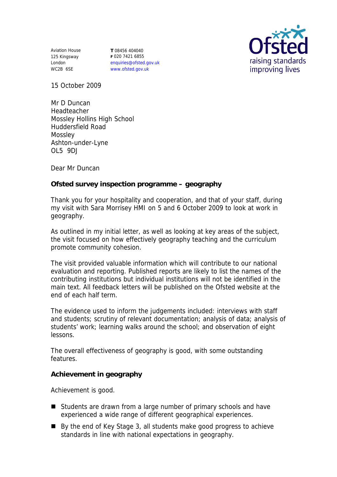Aviation House 125 Kingsway London WC2B 6SE

**T** 08456 404040 **F** 020 7421 6855 enquiries@ofsted.gov.uk www.ofsted.gov.uk



15 October 2009

Mr D Duncan Headteacher Mossley Hollins High School Huddersfield Road **Mossley** Ashton-under-Lyne OL5 9DJ

Dear Mr Duncan

**Ofsted survey inspection programme – geography** 

Thank you for your hospitality and cooperation, and that of your staff, during my visit with Sara Morrisey HMI on 5 and 6 October 2009 to look at work in geography.

As outlined in my initial letter, as well as looking at key areas of the subject, the visit focused on how effectively geography teaching and the curriculum promote community cohesion.

The visit provided valuable information which will contribute to our national evaluation and reporting. Published reports are likely to list the names of the contributing institutions but individual institutions will not be identified in the main text. All feedback letters will be published on the Ofsted website at the end of each half term.

The evidence used to inform the judgements included: interviews with staff and students; scrutiny of relevant documentation; analysis of data; analysis of students' work; learning walks around the school; and observation of eight lessons.

The overall effectiveness of geography is good, with some outstanding features.

**Achievement in geography**

Achievement is good.

- Students are drawn from a large number of primary schools and have experienced a wide range of different geographical experiences.
- By the end of Key Stage 3, all students make good progress to achieve standards in line with national expectations in geography.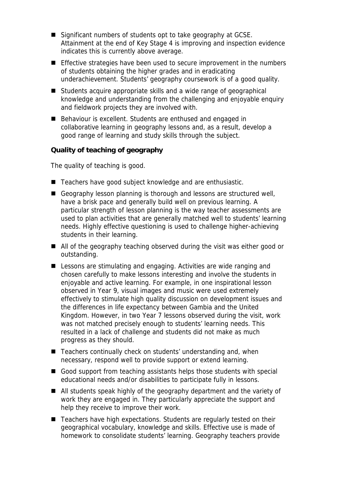- Significant numbers of students opt to take geography at GCSE. Attainment at the end of Key Stage 4 is improving and inspection evidence indicates this is currently above average.
- Effective strategies have been used to secure improvement in the numbers of students obtaining the higher grades and in eradicating underachievement. Students' geography coursework is of a good quality.
- Students acquire appropriate skills and a wide range of geographical knowledge and understanding from the challenging and enjoyable enquiry and fieldwork projects they are involved with.
- Behaviour is excellent. Students are enthused and engaged in collaborative learning in geography lessons and, as a result, develop a good range of learning and study skills through the subject.

**Quality of teaching of geography**

The quality of teaching is good.

- Teachers have good subject knowledge and are enthusiastic.
- Geography lesson planning is thorough and lessons are structured well, have a brisk pace and generally build well on previous learning. A particular strength of lesson planning is the way teacher assessments are used to plan activities that are generally matched well to students' learning needs. Highly effective questioning is used to challenge higher-achieving students in their learning.
- All of the geography teaching observed during the visit was either good or outstanding.
- Lessons are stimulating and engaging. Activities are wide ranging and chosen carefully to make lessons interesting and involve the students in enjoyable and active learning. For example, in one inspirational lesson observed in Year 9, visual images and music were used extremely effectively to stimulate high quality discussion on development issues and the differences in life expectancy between Gambia and the United Kingdom. However, in two Year 7 lessons observed during the visit, work was not matched precisely enough to students' learning needs. This resulted in a lack of challenge and students did not make as much progress as they should.
- Teachers continually check on students' understanding and, when necessary, respond well to provide support or extend learning.
- Good support from teaching assistants helps those students with special educational needs and/or disabilities to participate fully in lessons.
- All students speak highly of the geography department and the variety of work they are engaged in. They particularly appreciate the support and help they receive to improve their work.
- Teachers have high expectations. Students are regularly tested on their geographical vocabulary, knowledge and skills. Effective use is made of homework to consolidate students' learning. Geography teachers provide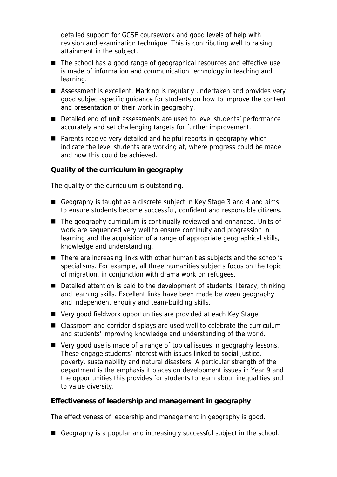detailed support for GCSE coursework and good levels of help with revision and examination technique. This is contributing well to raising attainment in the subject.

- The school has a good range of geographical resources and effective use is made of information and communication technology in teaching and learning.
- Assessment is excellent. Marking is regularly undertaken and provides very good subject-specific guidance for students on how to improve the content and presentation of their work in geography.
- Detailed end of unit assessments are used to level students' performance accurately and set challenging targets for further improvement.
- Parents receive very detailed and helpful reports in geography which indicate the level students are working at, where progress could be made and how this could be achieved.

**Quality of the curriculum in geography** 

The quality of the curriculum is outstanding.

- Geography is taught as a discrete subject in Key Stage 3 and 4 and aims to ensure students become successful, confident and responsible citizens.
- The geography curriculum is continually reviewed and enhanced. Units of work are sequenced very well to ensure continuity and progression in learning and the acquisition of a range of appropriate geographical skills, knowledge and understanding.
- There are increasing links with other humanities subjects and the school's specialisms. For example, all three humanities subjects focus on the topic of migration, in conjunction with drama work on refugees.
- Detailed attention is paid to the development of students' literacy, thinking and learning skills. Excellent links have been made between geography and independent enquiry and team-building skills.
- Very good fieldwork opportunities are provided at each Key Stage.
- Classroom and corridor displays are used well to celebrate the curriculum and students' improving knowledge and understanding of the world.
- Very good use is made of a range of topical issues in geography lessons. These engage students' interest with issues linked to social justice, poverty, sustainability and natural disasters. A particular strength of the department is the emphasis it places on development issues in Year 9 and the opportunities this provides for students to learn about inequalities and to value diversity.

**Effectiveness of leadership and management in geography**

The effectiveness of leadership and management in geography is good.

Geography is a popular and increasingly successful subject in the school.